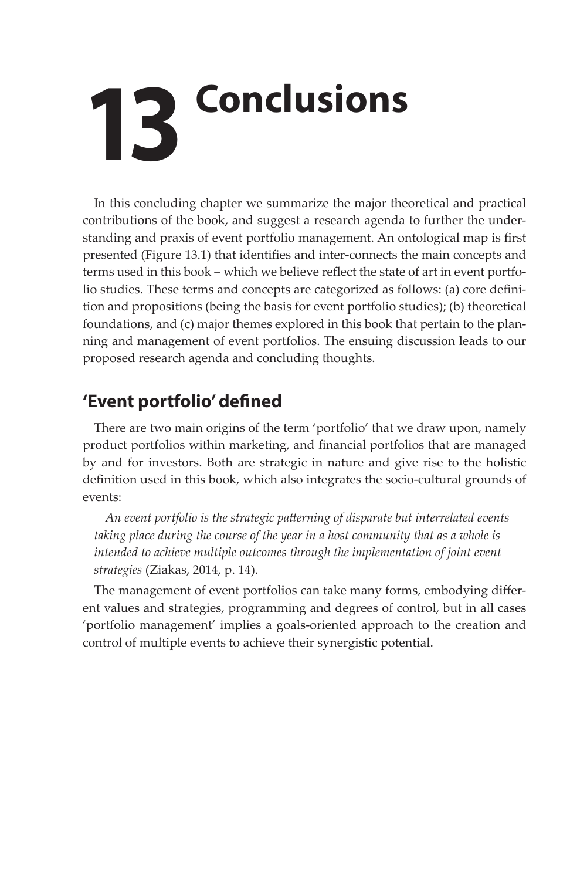# **13 Conclusions**

In this concluding chapter we summarize the major theoretical and practical contributions of the book, and suggest a research agenda to further the understanding and praxis of event portfolio management. An ontological map is first presented (Figure 13.1) that identifies and inter-connects the main concepts and terms used in this book – which we believe reflect the state of art in event portfolio studies. These terms and concepts are categorized as follows: (a) core definition and propositions (being the basis for event portfolio studies); (b) theoretical foundations, and (c) major themes explored in this book that pertain to the planning and management of event portfolios. The ensuing discussion leads to our proposed research agenda and concluding thoughts.

# **'Event portfolio' defined**

There are two main origins of the term 'portfolio' that we draw upon, namely product portfolios within marketing, and financial portfolios that are managed by and for investors. Both are strategic in nature and give rise to the holistic definition used in this book, which also integrates the socio-cultural grounds of events:

*An event portfolio is the strategic patterning of disparate but interrelated events taking place during the course of the year in a host community that as a whole is*  intended to achieve multiple outcomes through the implementation of joint event *strategies* (Ziakas, 2014, p. 14).

The management of event portfolios can take many forms, embodying different values and strategies, programming and degrees of control, but in all cases 'portfolio management' implies a goals-oriented approach to the creation and control of multiple events to achieve their synergistic potential.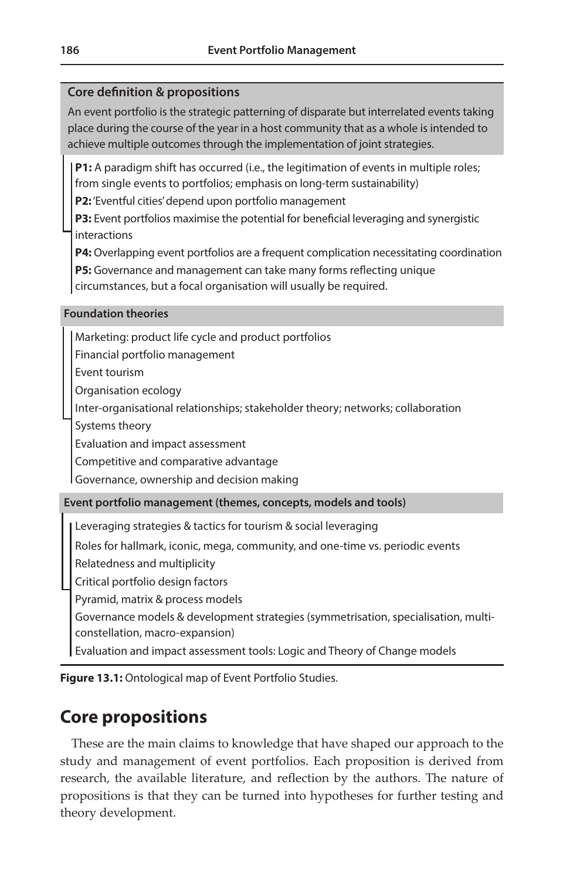## **Core definition & propositions**

An event portfolio is the strategic patterning of disparate but interrelated events taking place during the course of the year in a host community that as a whole is intended to achieve multiple outcomes through the implementation of joint strategies.

**P1:** A paradigm shift has occurred (i.e., the legitimation of events in multiple roles; from single events to portfolios; emphasis on long-term sustainability)

**P2:** 'Eventful cities' depend upon portfolio management

**P3:** Event portfolios maximise the potential for beneficial leveraging and synergistic interactions

**P4:** Overlapping event portfolios are a frequent complication necessitating coordination

**P5:** Governance and management can take many forms reflecting unique

circumstances, but a focal organisation will usually be required.

## **Foundation theories**

Marketing: product life cycle and product portfolios

Financial portfolio management

Event tourism

Organisation ecology

Inter-organisational relationships; stakeholder theory; networks; collaboration

Systems theory

Evaluation and impact assessment

Competitive and comparative advantage

Governance, ownership and decision making

## **Event portfolio management (themes, concepts, models and tools)**

Leveraging strategies & tactics for tourism & social leveraging

Roles for hallmark, iconic, mega, community, and one-time vs. periodic events

Relatedness and multiplicity

Critical portfolio design factors

Pyramid, matrix & process models

Governance models & development strategies (symmetrisation, specialisation, multiconstellation, macro-expansion)

Evaluation and impact assessment tools: Logic and Theory of Change models

**Figure 13.1:** Ontological map of Event Portfolio Studies.

# **Core propositions**

These are the main claims to knowledge that have shaped our approach to the study and management of event portfolios. Each proposition is derived from research, the available literature, and reflection by the authors. The nature of propositions is that they can be turned into hypotheses for further testing and theory development.